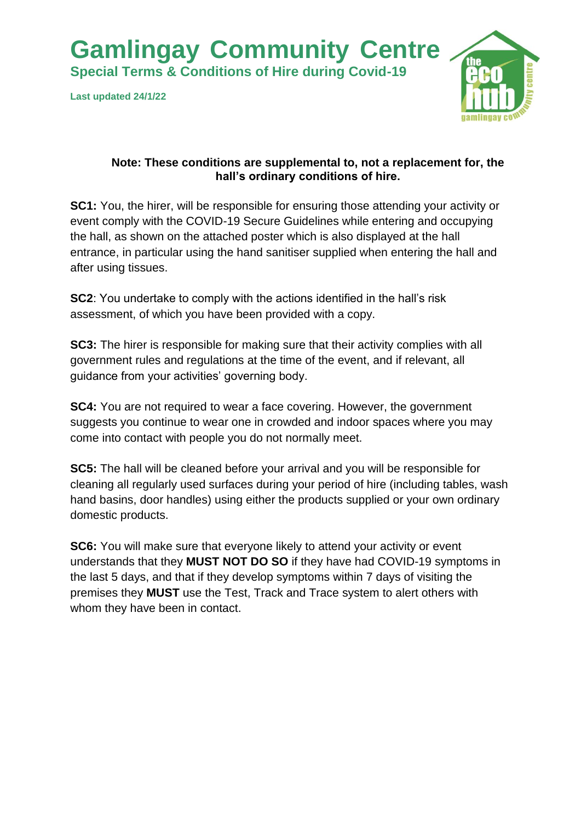**Gamlingay Community Centre** 

**Special Terms & Conditions of Hire during Covid-19**

**Last updated 24/1/22**



## **Note: These conditions are supplemental to, not a replacement for, the hall's ordinary conditions of hire.**

**SC1:** You, the hirer, will be responsible for ensuring those attending your activity or event comply with the COVID-19 Secure Guidelines while entering and occupying the hall, as shown on the attached poster which is also displayed at the hall entrance, in particular using the hand sanitiser supplied when entering the hall and after using tissues.

**SC2**: You undertake to comply with the actions identified in the hall's risk assessment, of which you have been provided with a copy.

**SC3:** The hirer is responsible for making sure that their activity complies with all government rules and regulations at the time of the event, and if relevant, all guidance from your activities' governing body.

**SC4:** You are not required to wear a face covering. However, the government suggests you continue to wear one in crowded and indoor spaces where you may come into contact with people you do not normally meet.

**SC5:** The hall will be cleaned before your arrival and you will be responsible for cleaning all regularly used surfaces during your period of hire (including tables, wash hand basins, door handles) using either the products supplied or your own ordinary domestic products.

**SC6:** You will make sure that everyone likely to attend your activity or event understands that they **MUST NOT DO SO** if they have had COVID-19 symptoms in the last 5 days, and that if they develop symptoms within 7 days of visiting the premises they **MUST** use the Test, Track and Trace system to alert others with whom they have been in contact.